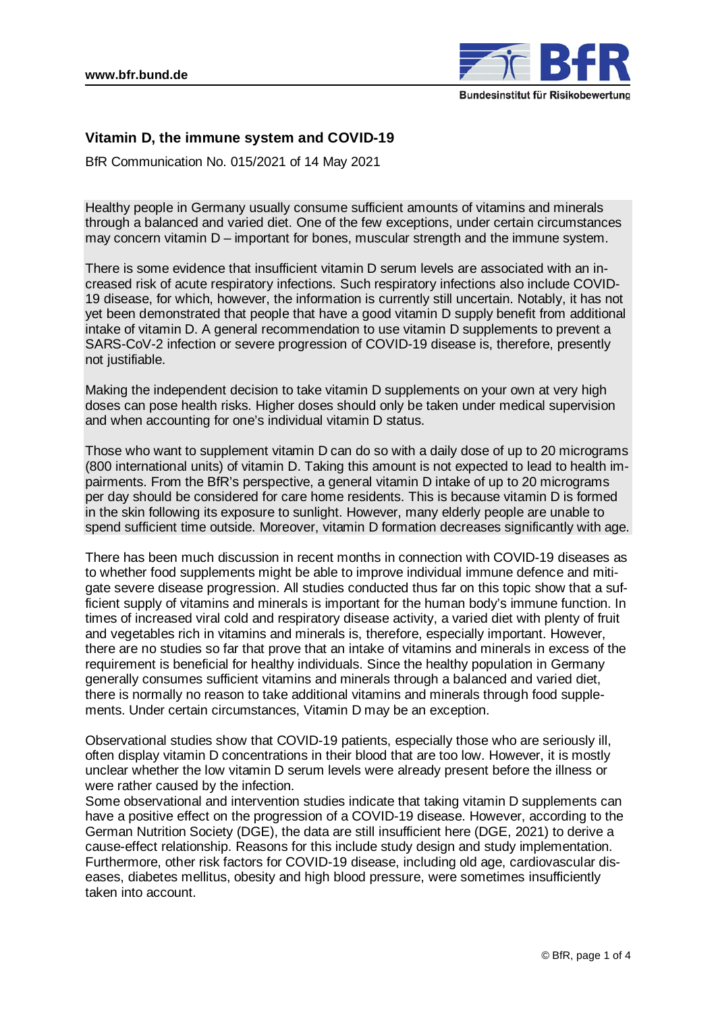

# **Vitamin D, the immune system and COVID-19**

BfR Communication No. 015/2021 of 14 May 2021

Healthy people in Germany usually consume sufficient amounts of vitamins and minerals through a balanced and varied diet. One of the few exceptions, under certain circumstances may concern vitamin D – important for bones, muscular strength and the immune system.

There is some evidence that insufficient vitamin D serum levels are associated with an increased risk of acute respiratory infections. Such respiratory infections also include COVID-19 disease, for which, however, the information is currently still uncertain. Notably, it has not yet been demonstrated that people that have a good vitamin D supply benefit from additional intake of vitamin D. A general recommendation to use vitamin D supplements to prevent a SARS-CoV-2 infection or severe progression of COVID-19 disease is, therefore, presently not justifiable.

Making the independent decision to take vitamin D supplements on your own at very high doses can pose health risks. Higher doses should only be taken under medical supervision and when accounting for one's individual vitamin D status.

Those who want to supplement vitamin D can do so with a daily dose of up to 20 micrograms (800 international units) of vitamin D. Taking this amount is not expected to lead to health impairments. From the BfR's perspective, a general vitamin D intake of up to 20 micrograms per day should be considered for care home residents. This is because vitamin D is formed in the skin following its exposure to sunlight. However, many elderly people are unable to spend sufficient time outside. Moreover, vitamin D formation decreases significantly with age.

There has been much discussion in recent months in connection with COVID-19 diseases as to whether food supplements might be able to improve individual immune defence and mitigate severe disease progression. All studies conducted thus far on this topic show that a sufficient supply of vitamins and minerals is important for the human body's immune function. In times of increased viral cold and respiratory disease activity, a varied diet with plenty of fruit and vegetables rich in vitamins and minerals is, therefore, especially important. However, there are no studies so far that prove that an intake of vitamins and minerals in excess of the requirement is beneficial for healthy individuals. Since the healthy population in Germany generally consumes sufficient vitamins and minerals through a balanced and varied diet, there is normally no reason to take additional vitamins and minerals through food supplements. Under certain circumstances, Vitamin D may be an exception.

Observational studies show that COVID-19 patients, especially those who are seriously ill, often display vitamin D concentrations in their blood that are too low. However, it is mostly unclear whether the low vitamin D serum levels were already present before the illness or were rather caused by the infection.

Some observational and intervention studies indicate that taking vitamin D supplements can have a positive effect on the progression of a COVID-19 disease. However, according to the German Nutrition Society (DGE), the data are still insufficient here (DGE, 2021) to derive a cause-effect relationship. Reasons for this include study design and study implementation. Furthermore, other risk factors for COVID-19 disease, including old age, cardiovascular diseases, diabetes mellitus, obesity and high blood pressure, were sometimes insufficiently taken into account.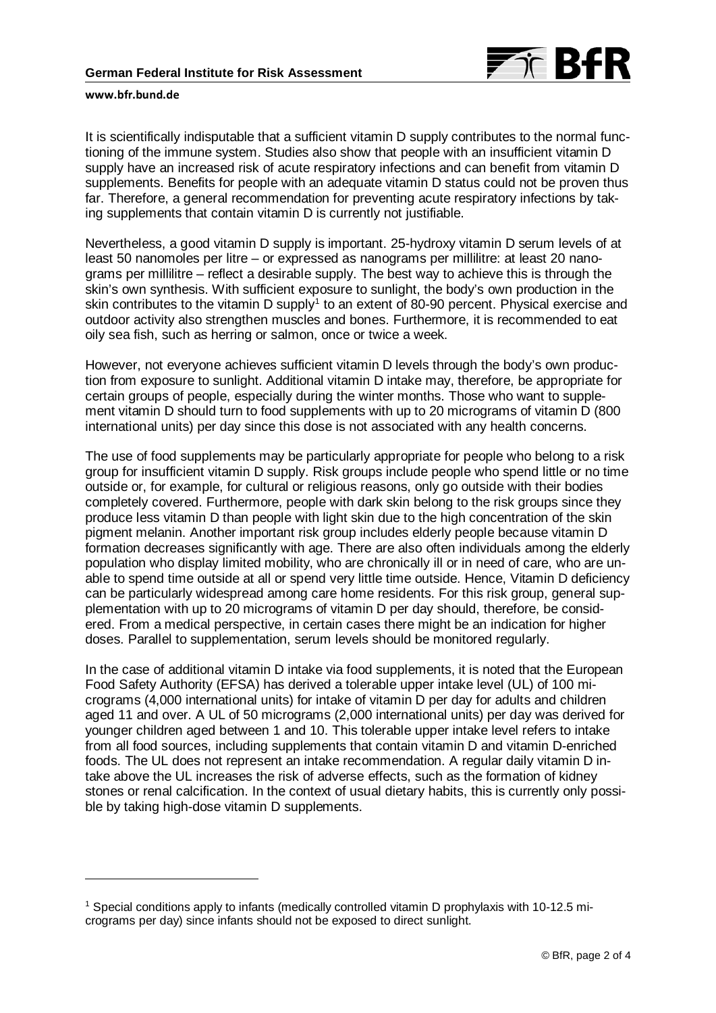

#### **www.bfr.bund.de**

1

It is scientifically indisputable that a sufficient vitamin D supply contributes to the normal functioning of the immune system. Studies also show that people with an insufficient vitamin D supply have an increased risk of acute respiratory infections and can benefit from vitamin D supplements. Benefits for people with an adequate vitamin D status could not be proven thus far. Therefore, a general recommendation for preventing acute respiratory infections by taking supplements that contain vitamin D is currently not justifiable.

Nevertheless, a good vitamin D supply is important. 25-hydroxy vitamin D serum levels of at least 50 nanomoles per litre – or expressed as nanograms per millilitre: at least 20 nanograms per millilitre – reflect a desirable supply. The best way to achieve this is through the skin's own synthesis. With sufficient exposure to sunlight, the body's own production in the skin contributes to the vitamin D supply<sup>[1](#page-1-0)</sup> to an extent of 80-90 percent. Physical exercise and outdoor activity also strengthen muscles and bones. Furthermore, it is recommended to eat oily sea fish, such as herring or salmon, once or twice a week.

However, not everyone achieves sufficient vitamin D levels through the body's own production from exposure to sunlight. Additional vitamin D intake may, therefore, be appropriate for certain groups of people, especially during the winter months. Those who want to supplement vitamin D should turn to food supplements with up to 20 micrograms of vitamin D (800 international units) per day since this dose is not associated with any health concerns.

The use of food supplements may be particularly appropriate for people who belong to a risk group for insufficient vitamin D supply. Risk groups include people who spend little or no time outside or, for example, for cultural or religious reasons, only go outside with their bodies completely covered. Furthermore, people with dark skin belong to the risk groups since they produce less vitamin D than people with light skin due to the high concentration of the skin pigment melanin. Another important risk group includes elderly people because vitamin D formation decreases significantly with age. There are also often individuals among the elderly population who display limited mobility, who are chronically ill or in need of care, who are unable to spend time outside at all or spend very little time outside. Hence, Vitamin D deficiency can be particularly widespread among care home residents. For this risk group, general supplementation with up to 20 micrograms of vitamin D per day should, therefore, be considered. From a medical perspective, in certain cases there might be an indication for higher doses. Parallel to supplementation, serum levels should be monitored regularly.

In the case of additional vitamin D intake via food supplements, it is noted that the European Food Safety Authority (EFSA) has derived a tolerable upper intake level (UL) of 100 micrograms (4,000 international units) for intake of vitamin D per day for adults and children aged 11 and over. A UL of 50 micrograms (2,000 international units) per day was derived for younger children aged between 1 and 10. This tolerable upper intake level refers to intake from all food sources, including supplements that contain vitamin D and vitamin D-enriched foods. The UL does not represent an intake recommendation. A regular daily vitamin D intake above the UL increases the risk of adverse effects, such as the formation of kidney stones or renal calcification. In the context of usual dietary habits, this is currently only possible by taking high-dose vitamin D supplements.

<span id="page-1-0"></span><sup>1</sup> Special conditions apply to infants (medically controlled vitamin D prophylaxis with 10-12.5 micrograms per day) since infants should not be exposed to direct sunlight.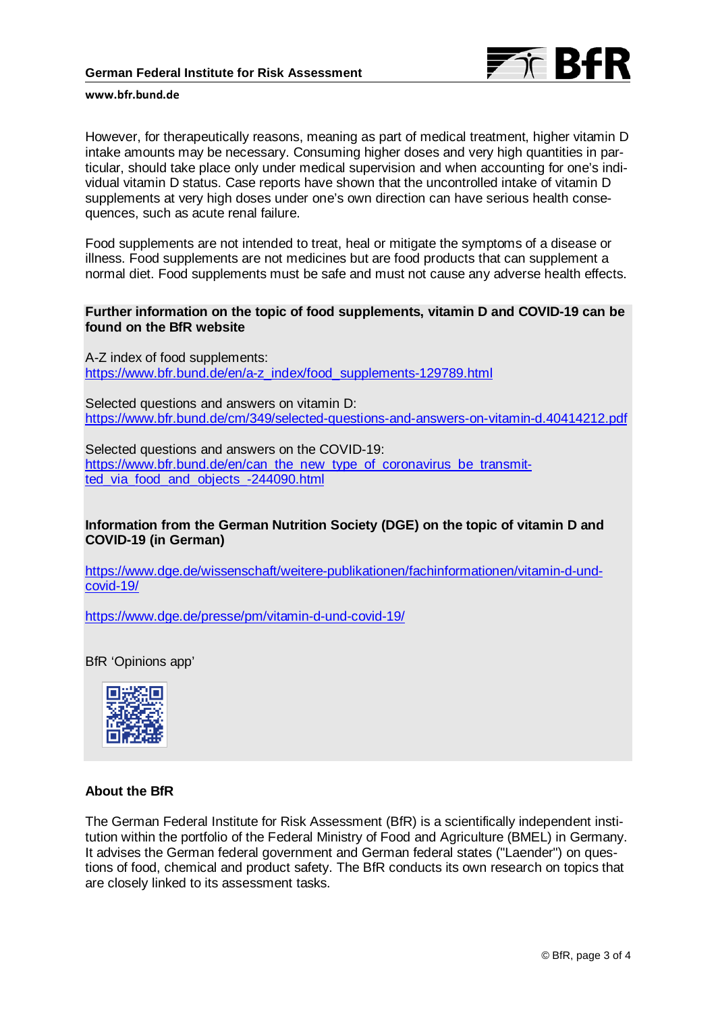

#### **www.bfr.bund.de**

However, for therapeutically reasons, meaning as part of medical treatment, higher vitamin D intake amounts may be necessary. Consuming higher doses and very high quantities in particular, should take place only under medical supervision and when accounting for one's individual vitamin D status. Case reports have shown that the uncontrolled intake of vitamin D supplements at very high doses under one's own direction can have serious health consequences, such as acute renal failure.

Food supplements are not intended to treat, heal or mitigate the symptoms of a disease or illness. Food supplements are not medicines but are food products that can supplement a normal diet. Food supplements must be safe and must not cause any adverse health effects.

### **Further information on the topic of food supplements, vitamin D and COVID-19 can be found on the BfR website**

A-Z index of food supplements: [https://www.bfr.bund.de/en/a-z\\_index/food\\_supplements-129789.html](https://www.bfr.bund.de/en/a-z_index/food_supplements-129789.html)

Selected questions and answers on vitamin D: <https://www.bfr.bund.de/cm/349/selected-questions-and-answers-on-vitamin-d.40414212.pdf>

Selected questions and answers on the COVID-19: [https://www.bfr.bund.de/en/can\\_the\\_new\\_type\\_of\\_coronavirus\\_be\\_transmit](https://www.bfr.bund.de/en/can_the_new_type_of_coronavirus_be_transmitted_via_food_and_objects_-244090.html)ted via food and objects -244090.html

## **Information from the German Nutrition Society (DGE) on the topic of vitamin D and COVID-19 (in German)**

[https://www.dge.de/wissenschaft/weitere-publikationen/fachinformationen/vitamin-d-und](https://www.dge.de/wissenschaft/weitere-publikationen/fachinformationen/vitamin-d-und-covid-19/)[covid-19/](https://www.dge.de/wissenschaft/weitere-publikationen/fachinformationen/vitamin-d-und-covid-19/)

<https://www.dge.de/presse/pm/vitamin-d-und-covid-19/>

BfR 'Opinions app'



### **About the BfR**

The German Federal Institute for Risk Assessment (BfR) is a scientifically independent institution within the portfolio of the Federal Ministry of Food and Agriculture (BMEL) in Germany. It advises the German federal government and German federal states ("Laender") on questions of food, chemical and product safety. The BfR conducts its own research on topics that are closely linked to its assessment tasks.